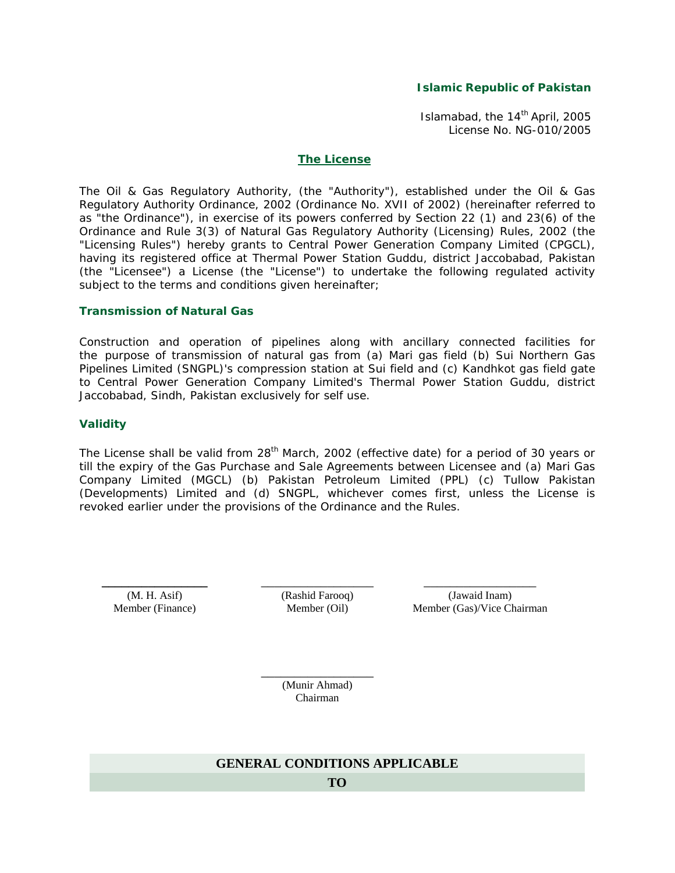### **Islamic Republic of Pakistan**

Islamabad, the 14<sup>th</sup> April, 2005 License No. NG-010/2005

#### **The License**

The Oil & Gas Regulatory Authority, (the "Authority"), established under the Oil & Gas Regulatory Authority Ordinance, 2002 (Ordinance No. XVII of 2002) (hereinafter referred to as "the Ordinance"), in exercise of its powers conferred by Section 22 (1) and 23(6) of the Ordinance and Rule 3(3) of Natural Gas Regulatory Authority (Licensing) Rules, 2002 (the "Licensing Rules") hereby grants to Central Power Generation Company Limited (CPGCL), having its registered office at Thermal Power Station Guddu, district Jaccobabad, Pakistan (the "Licensee") a License (the "License") to undertake the following regulated activity subject to the terms and conditions given hereinafter;

#### **Transmission of Natural Gas**

Construction and operation of pipelines along with ancillary connected facilities for the purpose of transmission of natural gas from (a) Mari gas field (b) Sui Northern Gas Pipelines Limited (SNGPL)'s compression station at Sui field and (c) Kandhkot gas field gate to Central Power Generation Company Limited's Thermal Power Station Guddu, district Jaccobabad, Sindh, Pakistan exclusively for self use.

### **Validity**

The License shall be valid from  $28<sup>th</sup>$  March, 2002 (effective date) for a period of 30 years or till the expiry of the Gas Purchase and Sale Agreements between Licensee and (a) Mari Gas Company Limited (MGCL) (b) Pakistan Petroleum Limited (PPL) (c) Tullow Pakistan (Developments) Limited and (d) SNGPL, whichever comes first, unless the License is revoked earlier under the provisions of the Ordinance and the Rules.

**\_\_\_\_\_\_\_\_\_\_\_\_\_\_\_\_** (M. H. Asif) Member (Finance)

\_\_\_\_\_\_\_\_\_\_\_\_\_\_\_\_\_ (Rashid Farooq) Member (Oil)

\_\_\_\_\_\_\_\_\_\_\_\_\_\_\_\_\_ (Jawaid Inam) Member (Gas)/Vice Chairman

\_\_\_\_\_\_\_\_\_\_\_\_\_\_\_\_\_ (Munir Ahmad) Chairman

# **GENERAL CONDITIONS APPLICABLE**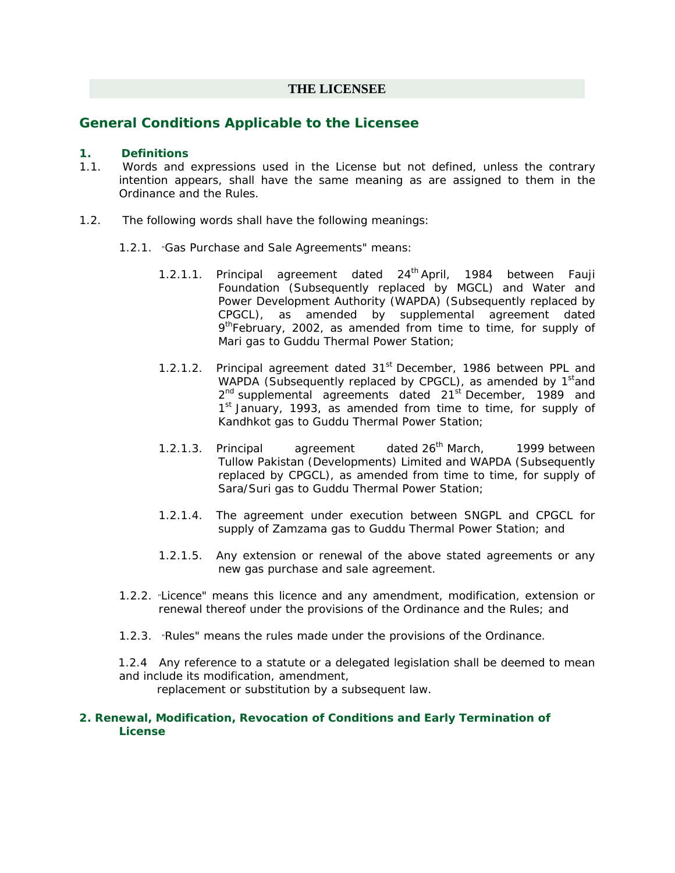# **THE LICENSEE**

# **General Conditions Applicable to the Licensee**

## **1. Definitions**

- 1.1. Words and expressions used in the License but not defined, unless the contrary intention appears, shall have the same meaning as are assigned to them in the Ordinance and the Rules.
- 1.2. The following words shall have the following meanings:
	- 1.2.1. "Gas Purchase and Sale Agreements" means:
		- 1.2.1.1. Principal agreement dated 24<sup>th</sup> April, 1984 between Fauji Foundation (Subsequently replaced by MGCL) and Water and Power Development Authority (WAPDA) (Subsequently replaced by CPGCL), as amended by supplemental agreement dated 9<sup>th</sup>February, 2002, as amended from time to time, for supply of Mari gas to Guddu Thermal Power Station;
		- 1.2.1.2. Principal agreement dated 31<sup>st</sup> December, 1986 between PPL and WAPDA (Subsequently replaced by CPGCL), as amended by 1<sup>st</sup>and  $2<sup>nd</sup>$  supplemental agreements dated  $21<sup>st</sup>$  December, 1989 and 1<sup>st</sup> January, 1993, as amended from time to time, for supply of Kandhkot gas to Guddu Thermal Power Station;
		- 1.2.1.3. Principal agreement dated  $26<sup>th</sup>$  March, 1999 between Tullow Pakistan (Developments) Limited and WAPDA (Subsequently replaced by CPGCL), as amended from time to time, for supply of Sara/Suri gas to Guddu Thermal Power Station;
		- 1.2.1.4. The agreement under execution between SNGPL and CPGCL for supply of Zamzama gas to Guddu Thermal Power Station; and
		- 1.2.1.5. Any extension or renewal of the above stated agreements or any new gas purchase and sale agreement.
	- 1.2.2. "Licence" means this licence and any amendment, modification, extension or renewal thereof under the provisions of the Ordinance and the Rules; and
	- 1.2.3. "Rules" means the rules made under the provisions of the Ordinance.

 1.2.4 Any reference to a statute or a delegated legislation shall be deemed to mean and include its modification, amendment,

replacement or substitution by a subsequent law.

## **2. Renewal, Modification, Revocation of Conditions and Early Termination of License**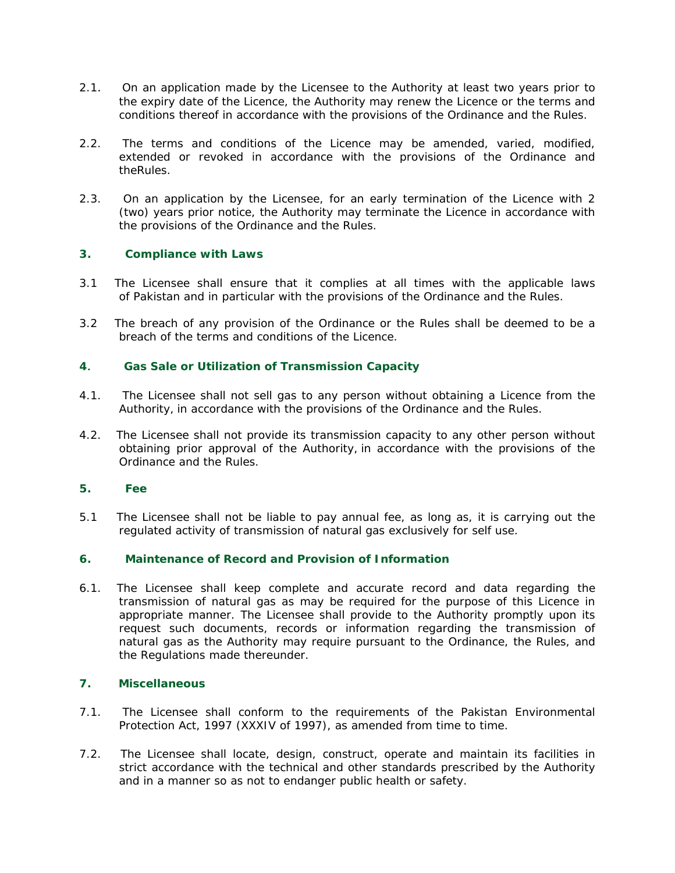- 2.1. On an application made by the Licensee to the Authority at least two years prior to the expiry date of the Licence, the Authority may renew the Licence or the terms and conditions thereof in accordance with the provisions of the Ordinance and the Rules.
- 2.2. The terms and conditions of the Licence may be amended, varied, modified, extended or revoked in accordance with the provisions of the Ordinance and theRules.
- 2.3. On an application by the Licensee, for an early termination of the Licence with 2 (two) years prior notice, the Authority may terminate the Licence in accordance with the provisions of the Ordinance and the Rules.

# **3. Compliance with Laws**

- 3.1 The Licensee shall ensure that it complies at all times with the applicable laws of Pakistan and in particular with the provisions of the Ordinance and the Rules.
- 3.2 The breach of any provision of the Ordinance or the Rules shall be deemed to be a breach of the terms and conditions of the Licence.

# **4**. **Gas Sale or Utilization of Transmission Capacity**

- 4.1. The Licensee shall not sell gas to any person without obtaining a Licence from the Authority, in accordance with the provisions of the Ordinance and the Rules.
- 4.2. The Licensee shall not provide its transmission capacity to any other person without obtaining prior approval of the Authority, in accordance with the provisions of the Ordinance and the Rules.

## **5. Fee**

5.1 The Licensee shall not be liable to pay annual fee, as long as, it is carrying out the regulated activity of transmission of natural gas exclusively for self use.

# **6. Maintenance of Record and Provision of Information**

6.1. The Licensee shall keep complete and accurate record and data regarding the transmission of natural gas as may be required for the purpose of this Licence in appropriate manner. The Licensee shall provide to the Authority promptly upon its request such documents, records or information regarding the transmission of natural gas as the Authority may require pursuant to the Ordinance, the Rules, and the Regulations made thereunder.

#### **7. Miscellaneous**

- 7.1. The Licensee shall conform to the requirements of the Pakistan Environmental Protection Act, 1997 (XXXIV of 1997), as amended from time to time.
- 7.2. The Licensee shall locate, design, construct, operate and maintain its facilities in strict accordance with the technical and other standards prescribed by the Authority and in a manner so as not to endanger public health or safety.